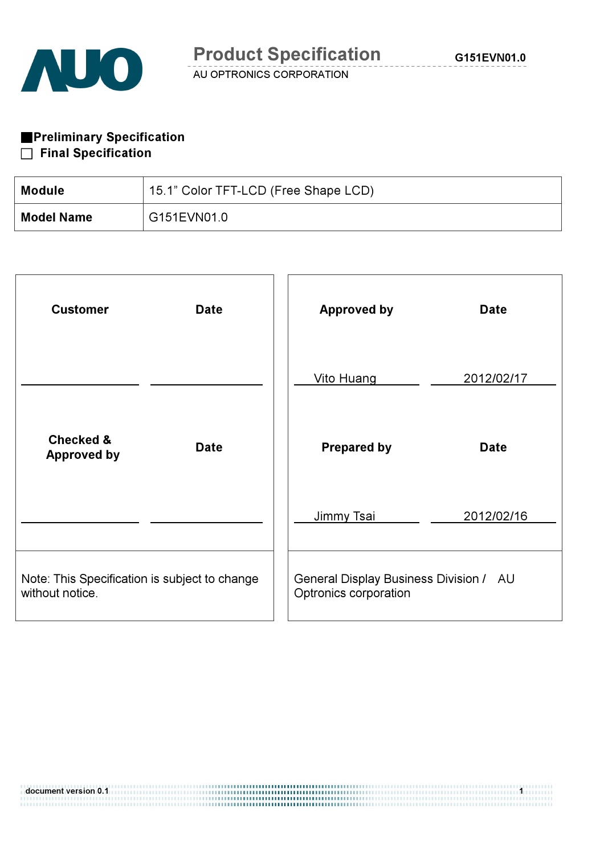

**Preliminary Specification** 

### $\Box$  Final Specification

| Module            | 15.1" Color TFT-LCD (Free Shape LCD) |
|-------------------|--------------------------------------|
| <b>Model Name</b> | G151EVN01.0                          |

| <b>Customer</b>                                                  | <b>Date</b> | <b>Approved by</b>                                              | <b>Date</b> |
|------------------------------------------------------------------|-------------|-----------------------------------------------------------------|-------------|
|                                                                  |             | <b>Vito Huang</b>                                               | 2012/02/17  |
| <b>Checked &amp;</b><br><b>Approved by</b>                       | <b>Date</b> | <b>Prepared by</b>                                              | <b>Date</b> |
|                                                                  |             | Jimmy Tsai                                                      | 2012/02/16  |
| Note: This Specification is subject to change<br>without notice. |             | General Display Business Division / AU<br>Optronics corporation |             |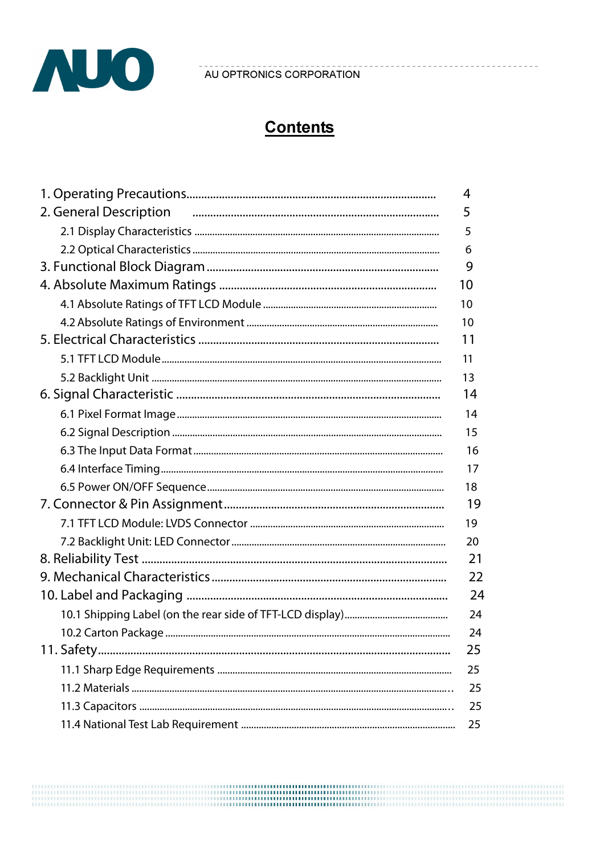

# **Contents**

|                                                                  | 4  |
|------------------------------------------------------------------|----|
| 2. General Description <i>manual manual contract description</i> | 5  |
|                                                                  | 5  |
|                                                                  | 6  |
|                                                                  | 9  |
|                                                                  | 10 |
|                                                                  | 10 |
|                                                                  | 10 |
|                                                                  | 11 |
|                                                                  | 11 |
|                                                                  | 13 |
|                                                                  | 14 |
|                                                                  | 14 |
|                                                                  | 15 |
|                                                                  | 16 |
|                                                                  | 17 |
|                                                                  | 18 |
|                                                                  | 19 |
|                                                                  | 19 |
|                                                                  | 20 |
|                                                                  | 21 |
|                                                                  | 22 |
|                                                                  | 24 |
|                                                                  | 24 |
|                                                                  | 24 |
|                                                                  | 25 |
|                                                                  | 25 |
|                                                                  | 25 |
|                                                                  | 25 |
|                                                                  | 25 |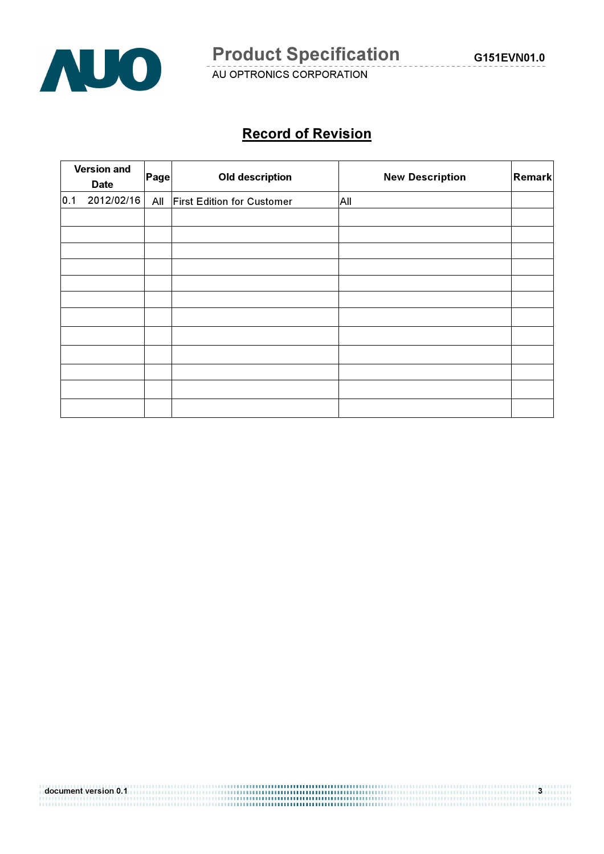

# Record of Revision

|     | <b>Version and</b><br><b>Date</b> | Page | <b>Old description</b>            | <b>New Description</b> | Remark |
|-----|-----------------------------------|------|-----------------------------------|------------------------|--------|
| 0.1 | 2012/02/16                        | All  | <b>First Edition for Customer</b> | All                    |        |
|     |                                   |      |                                   |                        |        |
|     |                                   |      |                                   |                        |        |
|     |                                   |      |                                   |                        |        |
|     |                                   |      |                                   |                        |        |
|     |                                   |      |                                   |                        |        |
|     |                                   |      |                                   |                        |        |
|     |                                   |      |                                   |                        |        |
|     |                                   |      |                                   |                        |        |
|     |                                   |      |                                   |                        |        |
|     |                                   |      |                                   |                        |        |
|     |                                   |      |                                   |                        |        |
|     |                                   |      |                                   |                        |        |

document version 0.1 3 and 3 and 3 and 3 and 3 and 3 and 3 and 3 and 3 and 3 and 3 and 3 and 3 and 3 and 3 and<br>1990 - The Company of the Company of the Company of the Company of the Company of the Company of the Company o<br>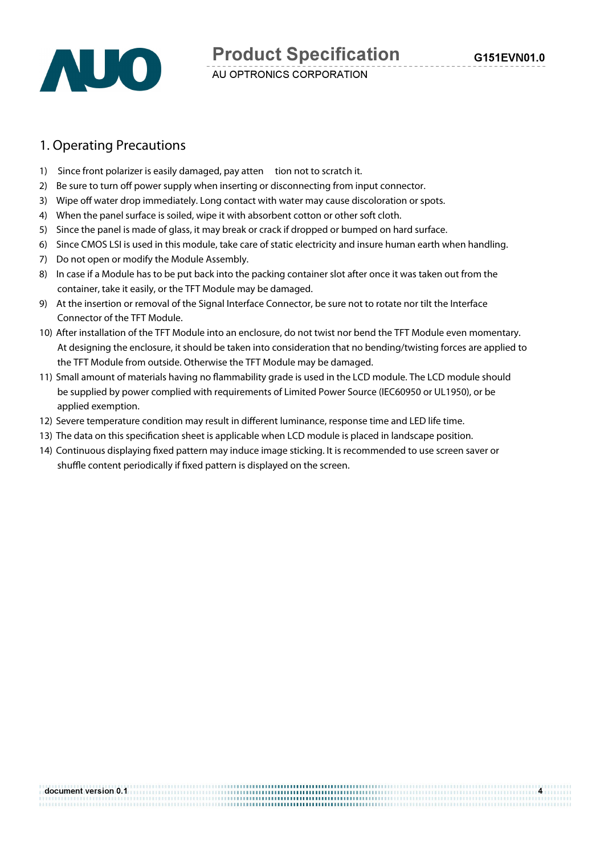#### 1. Operating Precautions

- 1) Since front polarizer is easily damaged, pay atten tion not to scratch it.
- 2) Be sure to turn off power supply when inserting or disconnecting from input connector.
- 3) Wipe off water drop immediately. Long contact with water may cause discoloration or spots.
- 4) When the panel surface is soiled, wipe it with absorbent cotton or other soft cloth.
- 5) Since the panel is made of glass, it may break or crack if dropped or bumped on hard surface.
- 6) Since CMOS LSI is used in this module, take care of static electricity and insure human earth when handling.
- 7) Do not open or modify the Module Assembly.
- 8) In case if a Module has to be put back into the packing container slot after once it was taken out from the container, take it easily, or the TFT Module may be damaged.
- 9) At the insertion or removal of the Signal Interface Connector, be sure not to rotate nor tilt the Interface Connector of the TFT Module.
- 10) After installation of the TFT Module into an enclosure, do not twist nor bend the TFT Module even momentary. At designing the enclosure, it should be taken into consideration that no bending/twisting forces are applied to the TFT Module from outside. Otherwise the TFT Module may be damaged.
- 11) Small amount of materials having no fammability grade is used in the LCD module. The LCD module should be supplied by power complied with requirements of Limited Power Source (IEC60950 or UL1950), or be applied exemption.
- 12) Severe temperature condition may result in diferent luminance, response time and LED life time.
- 13) The data on this specifcation sheet is applicable when LCD module is placed in landscape position.
- 14) Continuous displaying fxed pattern may induce image sticking. It is recommended to use screen saver or shuffle content periodically if fixed pattern is displayed on the screen.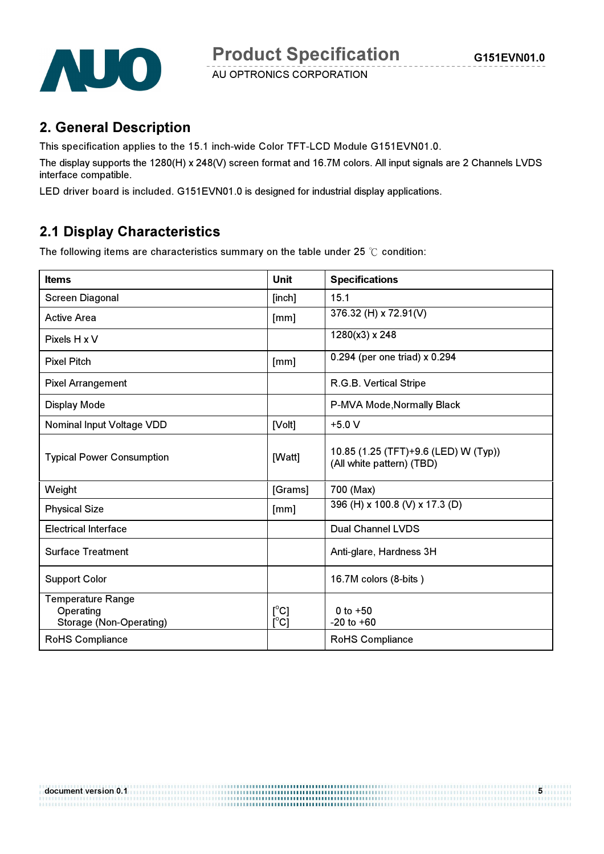



### 2. General Description

This specification applies to the 15.1 inch-wide Color TFT-LCD Module G151EVN01.0.

The display supports the 1280(H) x 248(V) screen format and 16.7M colors. All input signals are 2 Channels LVDS interface compatible.

LED driver board is included. G151EVN01.0 is designed for industrial display applications.

### 2.1 Display Characteristics

The following items are characteristics summary on the table under 25  $\degree$ C condition:

| <b>Items</b>                                                     | <b>Unit</b>           | <b>Specifications</b>                                             |
|------------------------------------------------------------------|-----------------------|-------------------------------------------------------------------|
| <b>Screen Diagonal</b>                                           | [inch]                | 15.1                                                              |
| <b>Active Area</b>                                               | [mm]                  | 376.32 (H) x 72.91(V)                                             |
| Pixels H x V                                                     |                       | 1280(x3) x 248                                                    |
| <b>Pixel Pitch</b>                                               | [mm]                  | 0.294 (per one triad) x 0.294                                     |
| <b>Pixel Arrangement</b>                                         |                       | R.G.B. Vertical Stripe                                            |
| <b>Display Mode</b>                                              |                       | P-MVA Mode, Normally Black                                        |
| <b>Nominal Input Voltage VDD</b>                                 | [Volt]                | $+5.0 V$                                                          |
| <b>Typical Power Consumption</b>                                 | [Watt]                | 10.85 (1.25 (TFT)+9.6 (LED) W (Typ))<br>(All white pattern) (TBD) |
| Weight                                                           | [Grams]               | 700 (Max)                                                         |
| <b>Physical Size</b>                                             | [mm]                  | 396 (H) x 100.8 (V) x 17.3 (D)                                    |
| <b>Electrical Interface</b>                                      |                       | <b>Dual Channel LVDS</b>                                          |
| <b>Surface Treatment</b>                                         |                       | Anti-glare, Hardness 3H                                           |
| <b>Support Color</b>                                             |                       | 16.7M colors (8-bits)                                             |
| <b>Temperature Range</b><br>Operating<br>Storage (Non-Operating) | [°C]<br>$[^{\circ}C]$ | 0 to $+50$<br>$-20$ to $+60$                                      |
| <b>RoHS Compliance</b>                                           |                       | RoHS Compliance                                                   |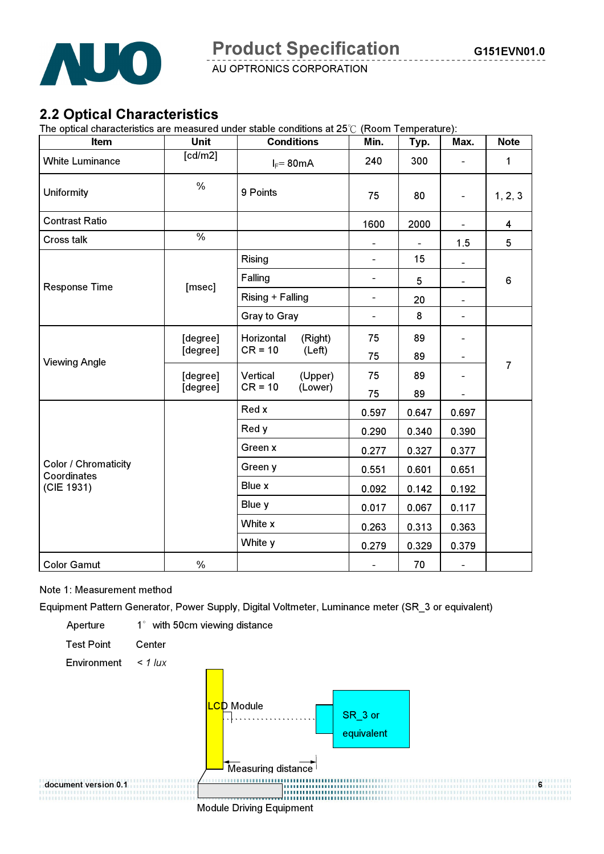

### 2.2 Optical Characteristics

The optical characteristics are measured under stable conditions at  $25^{\circ}$  (Room Temperature):

| Item                                | <b>Unit</b>          |                         | <b>Conditions</b> | Min.                         | Typ.  | Max.                         | <b>Note</b>    |
|-------------------------------------|----------------------|-------------------------|-------------------|------------------------------|-------|------------------------------|----------------|
| <b>White Luminance</b>              | [cd/m2]              |                         | $I_F = 80mA$      | 240                          | 300   |                              | 1              |
| Uniformity                          | $\%$                 | 9 Points                |                   | 75                           | 80    |                              | 1, 2, 3        |
| <b>Contrast Ratio</b>               |                      |                         |                   | 1600                         | 2000  | $\blacksquare$               | 4              |
| Cross talk                          | $\frac{0}{2}$        |                         |                   | $\blacksquare$               |       | 1.5                          | 5              |
|                                     |                      | Rising                  |                   | $\blacksquare$               | 15    | $\blacksquare$               |                |
|                                     |                      | Falling                 |                   | $\qquad \qquad \blacksquare$ | 5     | $\blacksquare$               | 6              |
| Response Time                       | [msec]               | Rising + Falling        |                   | $\qquad \qquad \blacksquare$ | 20    | Ξ.                           |                |
|                                     |                      | Gray to Gray            |                   | $\blacksquare$               | 8     | $\blacksquare$               |                |
|                                     | [degree]<br>[degree] | Horizontal<br>$CR = 10$ | (Right)           | 75                           | 89    |                              |                |
|                                     |                      |                         | (Left)            | 75                           | 89    | -                            |                |
| <b>Viewing Angle</b>                | [degree]             | Vertical                | (Upper)           | 75                           | 89    |                              | $\overline{7}$ |
|                                     | [degree]             | $CR = 10$               | (Lower)           | 75                           | 89    |                              |                |
|                                     |                      | Red x                   |                   | 0.597                        | 0.647 | 0.697                        |                |
|                                     |                      | Red y                   |                   | 0.290                        | 0.340 | 0.390                        |                |
|                                     |                      | Green x                 |                   | 0.277                        | 0.327 | 0.377                        |                |
| Color / Chromaticity<br>Coordinates |                      | Green y                 |                   | 0.551                        | 0.601 | 0.651                        |                |
| (CIE 1931)                          |                      | Blue x                  |                   | 0.092                        | 0.142 | 0.192                        |                |
|                                     |                      | Blue y                  |                   | 0.017                        | 0.067 | 0.117                        |                |
|                                     |                      | White x                 |                   | 0.263                        | 0.313 | 0.363                        |                |
|                                     |                      | White y                 |                   | 0.279                        | 0.329 | 0.379                        |                |
| <b>Color Gamut</b>                  | $\%$                 |                         |                   | $\blacksquare$               | 70    | $\qquad \qquad \blacksquare$ |                |

#### Note 1: Measurement method

Equipment Pattern Generator, Power Supply, Digital Voltmeter, Luminance meter (SR\_3 or equivalent)

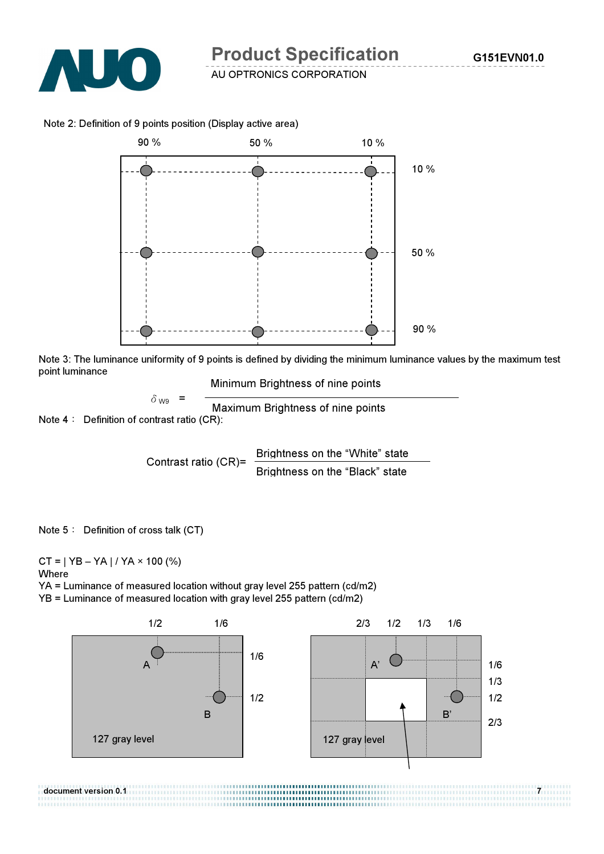

Note 2: Definition of 9 points position (Display active area)



Note 3: The luminance uniformity of 9 points is defined by dividing the minimum luminance values by the maximum test point luminance

Minimum Brightness of nine points

Note  $4:$  Definition of contrast ratio (CR):  $\delta_{\text{W9}}$  =  $\frac{1}{\text{Maximum~Brighness of nine points}}$ 

> Contrast ratio (CR)=  $\frac{\text{Brightness on the "White" state}}{\text{Brightness on the "White" state}}$ Brightness on the "Black" state

Note 5: Definition of cross talk (CT)

 $CT = | YB - YA | / YA \times 100 (%)$ 

**Where** 

YA = Luminance of measured location without gray level 255 pattern (cd/m2)

YB = Luminance of measured location with gray level 255 pattern (cd/m2)

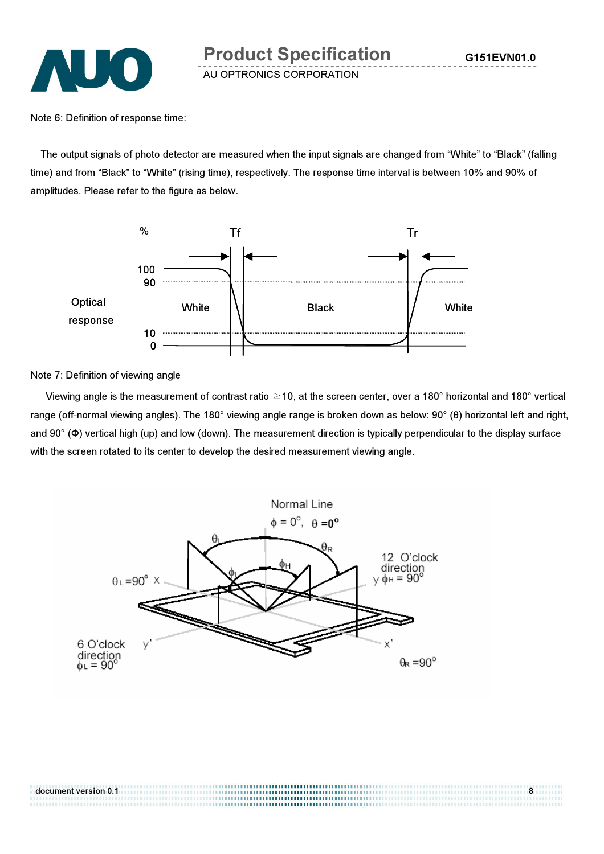Note 6: Definition of response time:

The output signals of photo detector are measured when the input signals are changed from "White" to "Black" (falling time) and from "Black" to "White" (rising time), respectively. The response time interval is between 10% and 90% of amplitudes. Please refer to the figure as below.



Note 7: Definition of viewing angle

Viewing angle is the measurement of contrast ratio  $\geq$  10, at the screen center, over a 180° horizontal and 180° vertical range (off-normal viewing angles). The 180° viewing angle range is broken down as below: 90° (θ) horizontal left and right, and 90° (Φ) vertical high (up) and low (down). The measurement direction is typically perpendicular to the display surface with the screen rotated to its center to develop the desired measurement viewing angle.



document version 0.1 **8**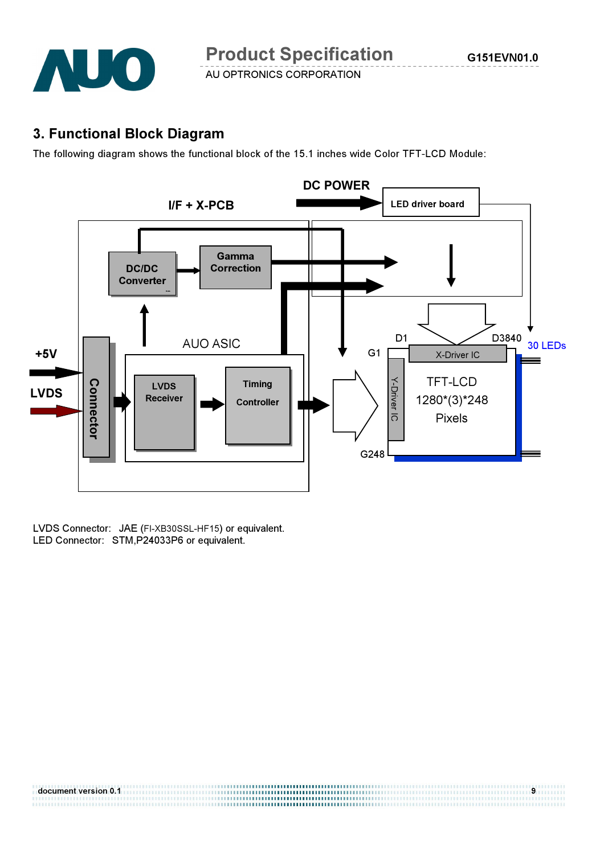

#### 3. Functional Block Diagram

The following diagram shows the functional block of the 15.1 inches wide Color TFT-LCD Module:



LVDS Connector: JAE (FI-XB30SSL-HF15) or equivalent.<br>LED Connector: STM,P24033P6 or equivalent.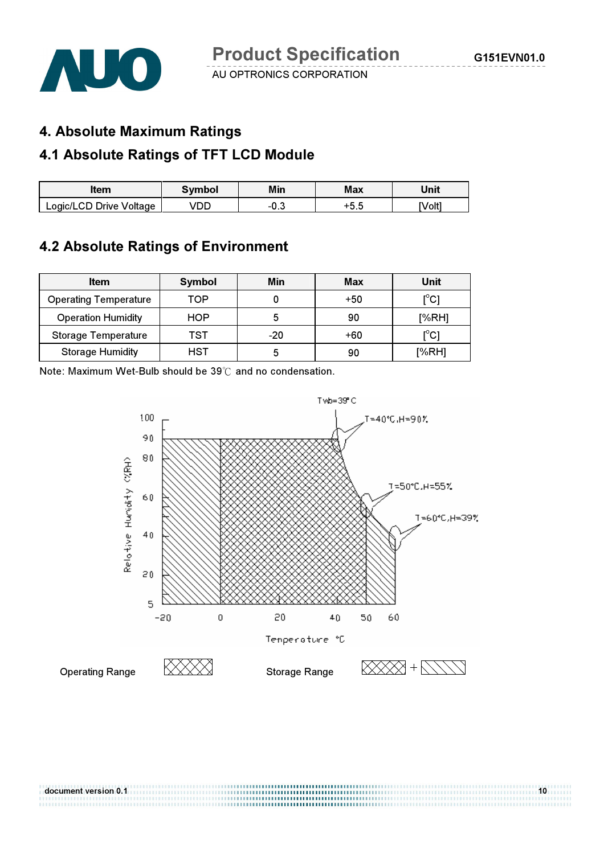

#### 4. Absolute Maximum Ratings

### 4.1 Absolute Ratings of TFT LCD Module

| ltem                    | <b>Symbol</b> | Min  | <b>Max</b> | Unit  |
|-------------------------|---------------|------|------------|-------|
| Logic/LCD Drive Voltage | DD            | −∪.◡ | ᄕ<br>J.J   | Volt] |

### 4.2 Absolute Ratings of Environment

| <b>Item</b>                  | Symbol | Min   | Max   | Unit                                    |
|------------------------------|--------|-------|-------|-----------------------------------------|
| <b>Operating Temperature</b> | TOP    |       | $+50$ | $\mathsf{I}^\circ\mathsf{C} \mathsf{I}$ |
| <b>Operation Humidity</b>    | HOP    |       | 90    | [%RH]                                   |
| <b>Storage Temperature</b>   | TST    | $-20$ | +60   | $\mathsf{I}^\circ\mathsf{C} \mathsf{I}$ |
| <b>Storage Humidity</b>      | HST    |       | 90    | [%RH]                                   |

Note: Maximum Wet-Bulb should be  $39^{\circ}$  and no condensation.



document version 0.1 10

,,,,,,,,,,,,,,,,,,,,,,,,,,,,,,,,,,,,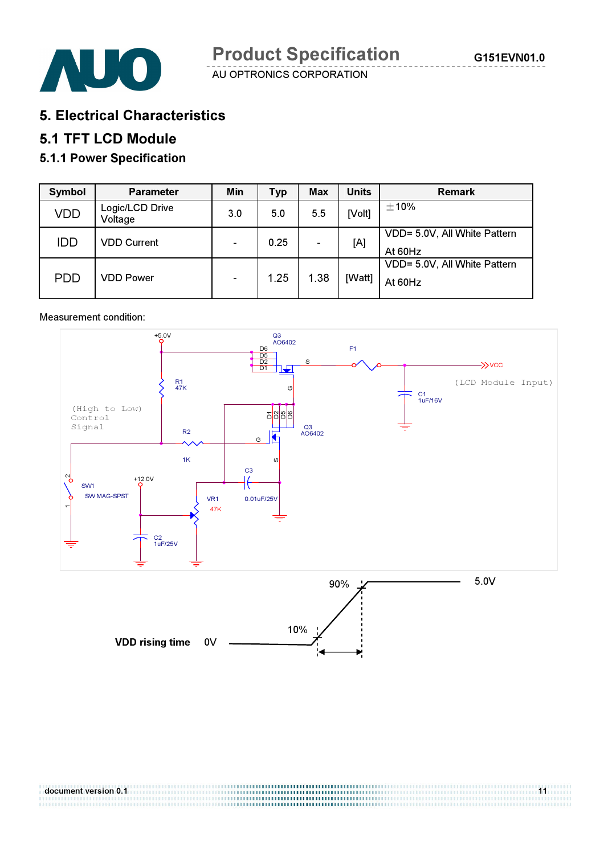

5. Electrical Characteristics

#### 5.1 TFT LCD Module

#### 5.1.1 Power Specification

| Symbol     | <b>Parameter</b>           | Min                      | <b>Typ</b> | Max                      | <b>Units</b> | <b>Remark</b>                           |
|------------|----------------------------|--------------------------|------------|--------------------------|--------------|-----------------------------------------|
| <b>VDD</b> | Logic/LCD Drive<br>Voltage | 3.0                      | 5.0        | 5.5                      | [Volt]       | $\pm$ 10%                               |
| <b>IDD</b> | <b>VDD Current</b>         |                          | 0.25       | $\overline{\phantom{0}}$ | [A]          | VDD= 5.0V, All White Pattern<br>At 60Hz |
| <b>PDD</b> | <b>VDD Power</b>           | $\overline{\phantom{a}}$ | 1.25       | 1.38                     | [Watt]       | VDD= 5.0V, All White Pattern<br>At 60Hz |

#### Measurement condition:



document version 0.1 11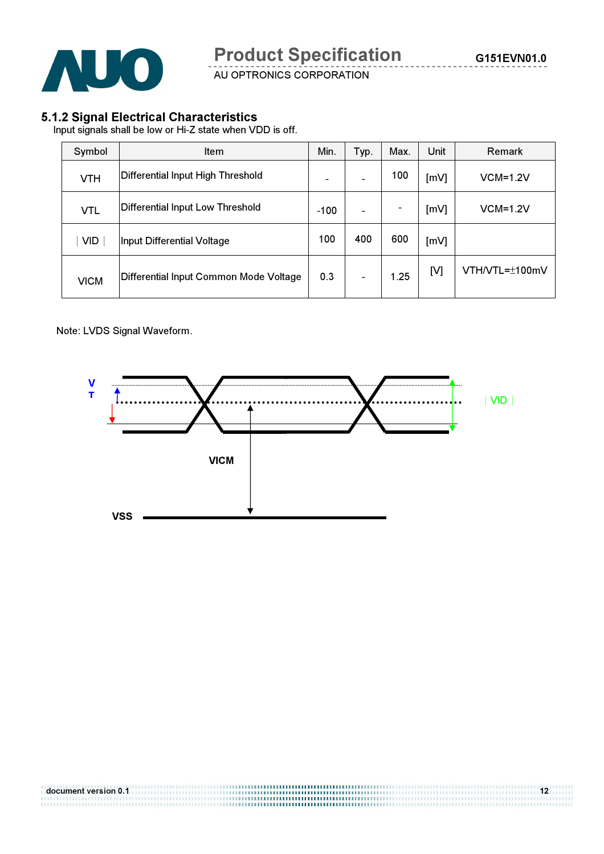

#### 5.1.2 Signal Electrical Characteristics

Input signals shall be low or Hi-Z state when VDD is off.

| Symbol      | <b>Item</b>                            | Min.   | Typ. | Max. | Unit | <b>Remark</b>  |
|-------------|----------------------------------------|--------|------|------|------|----------------|
| <b>VTH</b>  | Differential Input High Threshold      |        |      | 100  | [mV] | $VCM=1.2V$     |
| <b>VTL</b>  | Differential Input Low Threshold       | $-100$ |      |      | [mV] | $VCM=1.2V$     |
| <b>VID</b>  | Input Differential Voltage             | 100    | 400  | 600  | [mV] |                |
| <b>VICM</b> | Differential Input Common Mode Voltage | 0.3    |      | 1.25 | [V]  | VTH/VTL=±100mV |

Note: LVDS Signal Waveform.

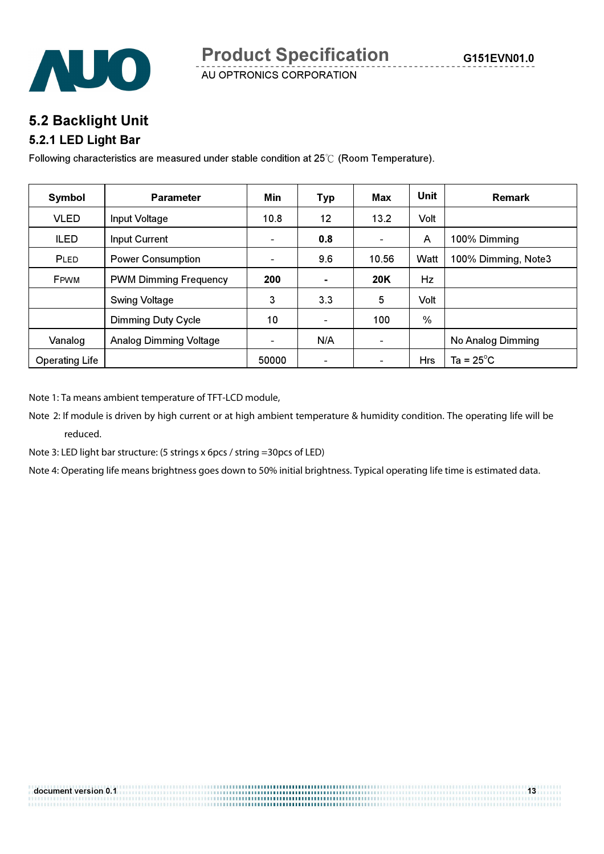



AUO

AU OPTRONICS CORPORATION

### 5.2 Backlight Unit

#### 5.2.1 LED Light Bar

Following characteristics are measured under stable condition at  $25^{\circ}$  (Room Temperature).

| Symbol                | <b>Parameter</b>              | Min            | <b>Typ</b>               | Max                      | <b>Unit</b>   | <b>Remark</b>       |
|-----------------------|-------------------------------|----------------|--------------------------|--------------------------|---------------|---------------------|
| <b>VLED</b>           | Input Voltage                 | 10.8           | 12                       | 13.2                     | Volt          |                     |
| <b>ILED</b>           | Input Current                 | $\blacksquare$ | 0.8                      | -                        | A             | 100% Dimming        |
| PLED                  | <b>Power Consumption</b>      | ۰.             | 9.6                      | 10.56                    | Watt          | 100% Dimming, Note3 |
| FPWM                  | <b>PWM Dimming Frequency</b>  | 200            | ۰                        | <b>20K</b>               | Hz            |                     |
|                       | <b>Swing Voltage</b>          | 3              | 3.3                      | 5                        | Volt          |                     |
|                       | <b>Dimming Duty Cycle</b>     | 10             | $\overline{\phantom{a}}$ | 100                      | $\frac{0}{0}$ |                     |
| Vanalog               | <b>Analog Dimming Voltage</b> | $\blacksquare$ | N/A                      | $\overline{\phantom{a}}$ |               | No Analog Dimming   |
| <b>Operating Life</b> |                               | 50000          | $\overline{\phantom{0}}$ | $\overline{\phantom{a}}$ | Hrs           | Ta = $25^{\circ}$ C |

Note 1: Ta means ambient temperature of TFT-LCD module,

Note 2: If module is driven by high current or at high ambient temperature & humidity condition. The operating life will be reduced.

Note 3: LED light bar structure: (5 strings x 6pcs / string =30pcs of LED)

Note 4: Operating life means brightness goes down to 50% initial brightness. Typical operating life time is estimated data.

| document version 0.1 | 13 |
|----------------------|----|
|                      |    |
|                      |    |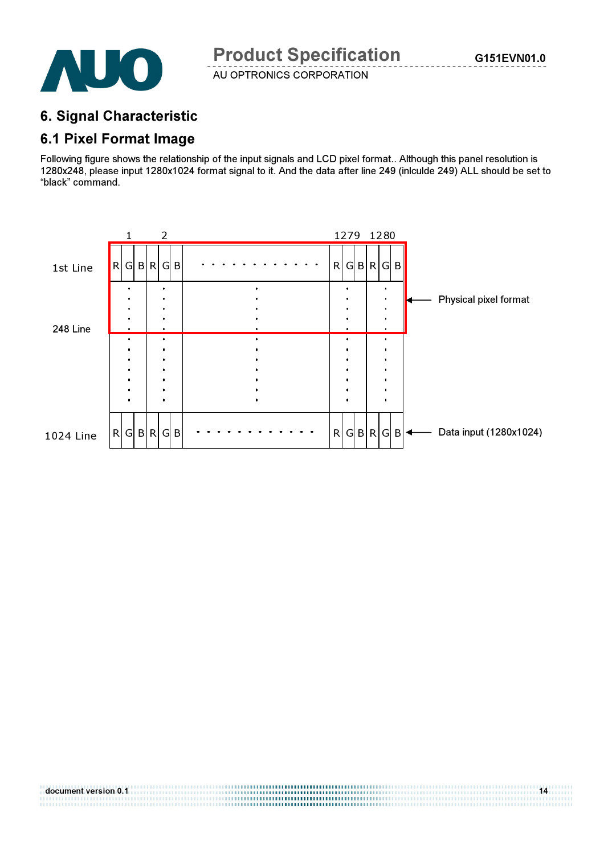

### 6. Signal Characteristic

#### 6.1 Pixel Format Image

Following figure shows the relationship of the input signals and LCD pixel format.. Although this panel resolution is 1280x248, please input 1280x1024 format signal to it. And the data after line 249 (inlculde 249) ALL should be set to "black" command.

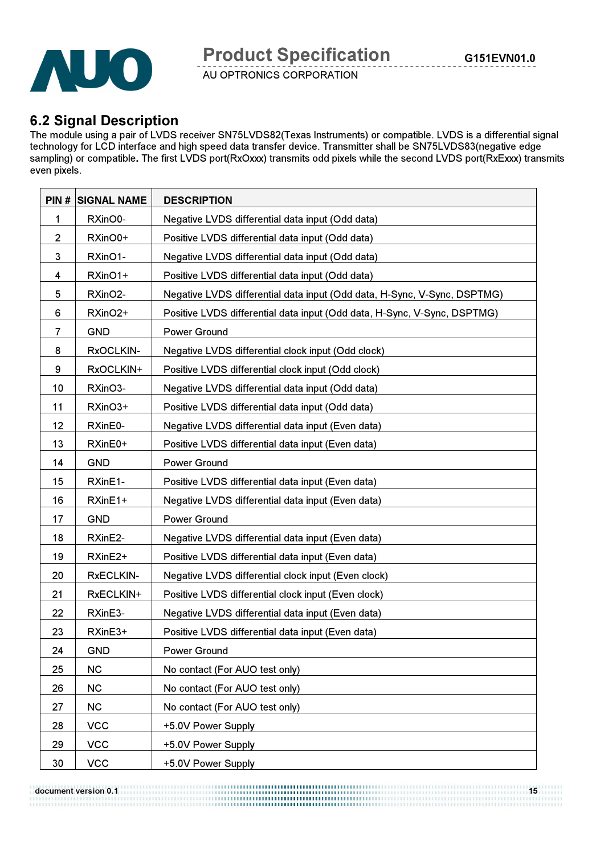

#### 6.2 Signal Description

The module using a pair of LVDS receiver SN75LVDS82(Texas Instruments) or compatible. LVDS is a differential signal technology for LCD interface and high speed data transfer device. Transmitter shall be SN75LVDS83(negative edge sampling) or compatible. The first LVDS port(RxOxxx) transmits odd pixels while the second LVDS port(RxExxx) transmits even pixels.

| PIN#         | <b>SIGNAL NAME</b> | <b>DESCRIPTION</b>                                                       |
|--------------|--------------------|--------------------------------------------------------------------------|
| 1            | RXinO0-            | Negative LVDS differential data input (Odd data)                         |
| $\mathbf{2}$ | RXinO0+            | Positive LVDS differential data input (Odd data)                         |
| 3            | RXinO1-            | Negative LVDS differential data input (Odd data)                         |
| 4            | RXinO1+            | Positive LVDS differential data input (Odd data)                         |
| 5            | RXinO2-            | Negative LVDS differential data input (Odd data, H-Sync, V-Sync, DSPTMG) |
| 6            | RXinO2+            | Positive LVDS differential data input (Odd data, H-Sync, V-Sync, DSPTMG) |
| 7            | <b>GND</b>         | Power Ground                                                             |
| 8            | RxOCLKIN-          | Negative LVDS differential clock input (Odd clock)                       |
| 9            | RxOCLKIN+          | Positive LVDS differential clock input (Odd clock)                       |
| 10           | RXinO3-            | Negative LVDS differential data input (Odd data)                         |
| 11           | RXinO3+            | Positive LVDS differential data input (Odd data)                         |
| 12           | RXinE0-            | Negative LVDS differential data input (Even data)                        |
| 13           | RXinE0+            | Positive LVDS differential data input (Even data)                        |
| 14           | <b>GND</b>         | <b>Power Ground</b>                                                      |
| 15           | RXinE1-            | Positive LVDS differential data input (Even data)                        |
| 16           | RXinE1+            | Negative LVDS differential data input (Even data)                        |
| 17           | <b>GND</b>         | Power Ground                                                             |
| 18           | RXinE2-            | Negative LVDS differential data input (Even data)                        |
| 19           | RXinE2+            | Positive LVDS differential data input (Even data)                        |
| 20           | <b>RxECLKIN-</b>   | Negative LVDS differential clock input (Even clock)                      |
| 21           | RxECLKIN+          | Positive LVDS differential clock input (Even clock)                      |
| 22           | RXinE3-            | Negative LVDS differential data input (Even data)                        |
| 23           | RXinE3+            | Positive LVDS differential data input (Even data)                        |
| 24           | <b>GND</b>         | Power Ground                                                             |
| 25           | <b>NC</b>          | No contact (For AUO test only)                                           |
| 26           | <b>NC</b>          | No contact (For AUO test only)                                           |
| 27           | <b>NC</b>          | No contact (For AUO test only)                                           |
| 28           | <b>VCC</b>         | +5.0V Power Supply                                                       |
| 29           | <b>VCC</b>         | +5.0V Power Supply                                                       |
| 30           | <b>VCC</b>         | +5.0V Power Supply                                                       |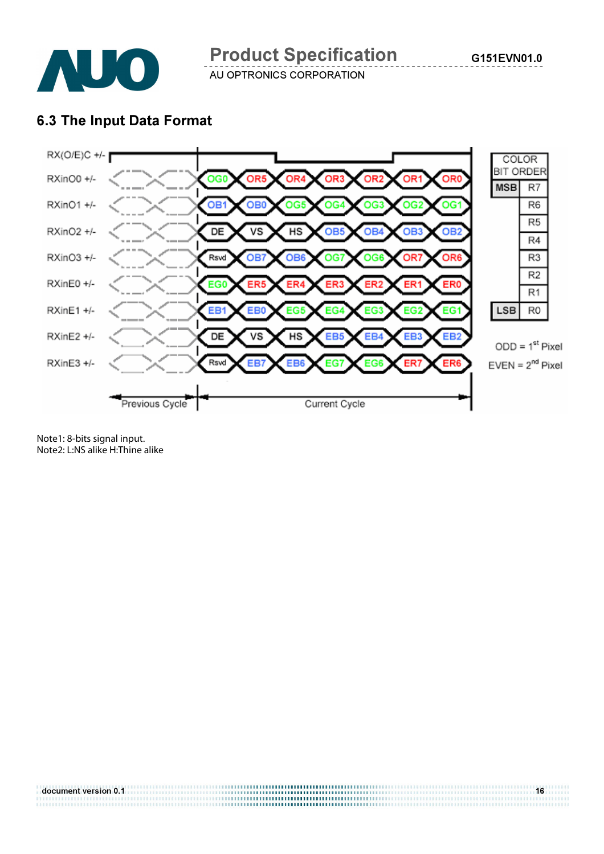

Product Specification

AU OPTRONICS CORPORATION

### 6.3 The Input Data Format



Note1: 8-bits signal input. Note2: L:NS alike H:Thine alike

document version 0.1 **16 1999 - 1999 - 1999 - 1999 - 1999 - 1999 - 1999 - 1999 - 1999 - 1999 - 1999 - 1999 - 1**<br>- 1999 - 1999 - 1999 - 1999 - 1999 - 1999 - 1999 - 1999 - 1999 - 1999 - 1999 - 1999 - 1999 - 1999 - 1999 - 199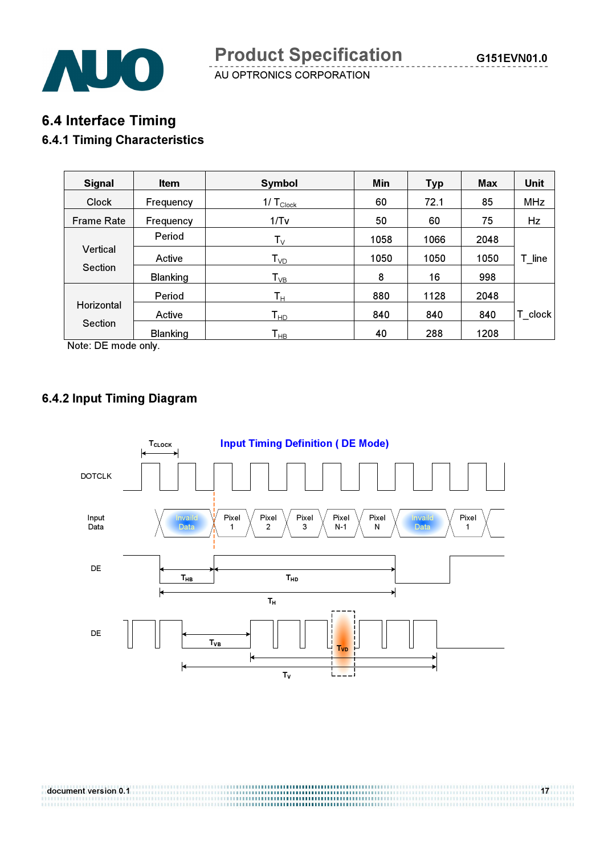

## 6.4 Interface Timing 6.4.1 Timing Characteristics

| <b>Signal</b>     | <b>Item</b>     | Symbol                     | Min  | <b>Typ</b> | <b>Max</b> | <b>Unit</b> |
|-------------------|-----------------|----------------------------|------|------------|------------|-------------|
| <b>Clock</b>      | Frequency       | 1/ $T_{\text{Clock}}$      | 60   | 72.1       | 85         | <b>MHz</b>  |
| <b>Frame Rate</b> | Frequency       | 1/Tv                       | 50   | 60         | 75         | Hz          |
|                   | Period          | $T_{V}$                    | 1058 | 1066       | 2048       |             |
| Vertical          | Active          | $T_{VD}$                   | 1050 | 1050       | 1050       | T line      |
| Section           | <b>Blanking</b> | $T_{VB}$                   | 8    | 16         | 998        |             |
|                   | Period          | $\mathsf{T}_\mathsf{H}$    | 880  | 1128       | 2048       |             |
| Horizontal        | Active          | $\mathsf{T}_{\mathsf{HD}}$ | 840  | 840        | 840        | T clock     |
| Section           | <b>Blanking</b> | $\mathsf{T}_{\mathsf{HB}}$ | 40   | 288        | 1208       |             |

Note: DE mode only.

### 6.4.2 Input Timing Diagram



document version 0.1 17

1999 - Personal Bernard Bernstein (1999 - 1999 - 1999 - 1999 - 1999 - 1999 - 1999 - 1999 - 1999 - 1999 - 1999<br>1999 - Personal Bernstein (1999 - 1999 - 1999 - 1999 - 1999 - 1999 - 1999 - 1999 - 1999 - 1999 - 1999 - 1999 -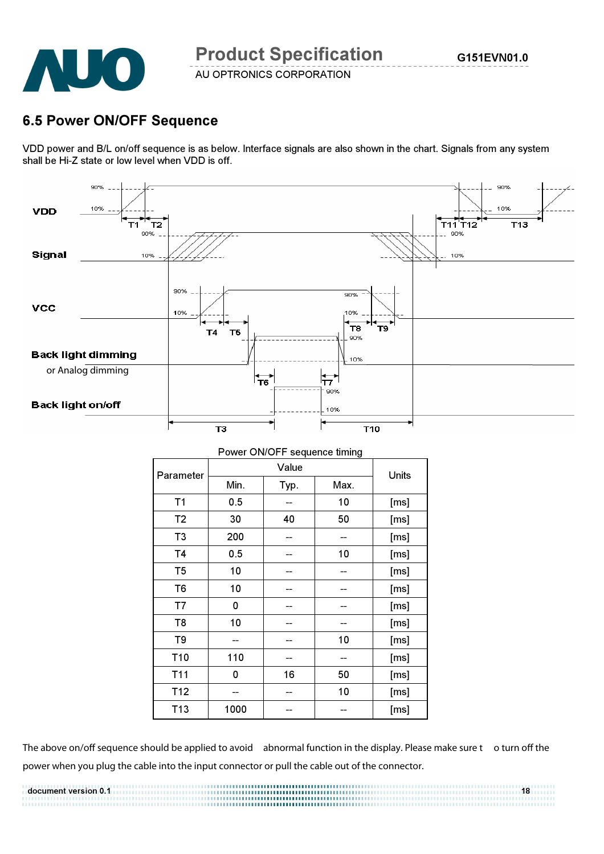

### 6.5 Power ON/OFF Sequence

VDD power and B/L on/off sequence is as below. Interface signals are also shown in the chart. Signals from any system shall be Hi-Z state or low level when VDD is off.



| Power ON/OFF sequence timing |                      |    |    |       |  |
|------------------------------|----------------------|----|----|-------|--|
| Parameter                    | Value                |    |    | Units |  |
|                              | Min.<br>Max.<br>Typ. |    |    |       |  |
| T1                           | 0.5                  |    | 10 | [ms]  |  |
| T <sub>2</sub>               | 30                   | 40 | 50 | [ms]  |  |
| T <sub>3</sub>               | 200                  |    |    | [ms]  |  |
| T <sub>4</sub>               | 0.5                  |    | 10 | [ms]  |  |
| T <sub>5</sub>               | 10                   |    |    | [ms]  |  |
| T <sub>6</sub>               | 10                   |    |    | [ms]  |  |
| T7                           | 0                    |    |    | [ms]  |  |
| T <sub>8</sub>               | 10                   |    |    | [ms]  |  |
| T9                           |                      |    | 10 | [ms]  |  |
| T10                          | 110                  |    |    | [ms]  |  |
| T <sub>11</sub>              | 0                    | 16 | 50 | [ms]  |  |
| T <sub>12</sub>              |                      |    | 10 | [ms]  |  |
| T <sub>13</sub>              | 1000                 |    |    | [ms]  |  |

The above on/off sequence should be applied to avoid abnormal function in the display. Please make sure t o turn off the power when you plug the cable into the input connector or pull the cable out of the connector.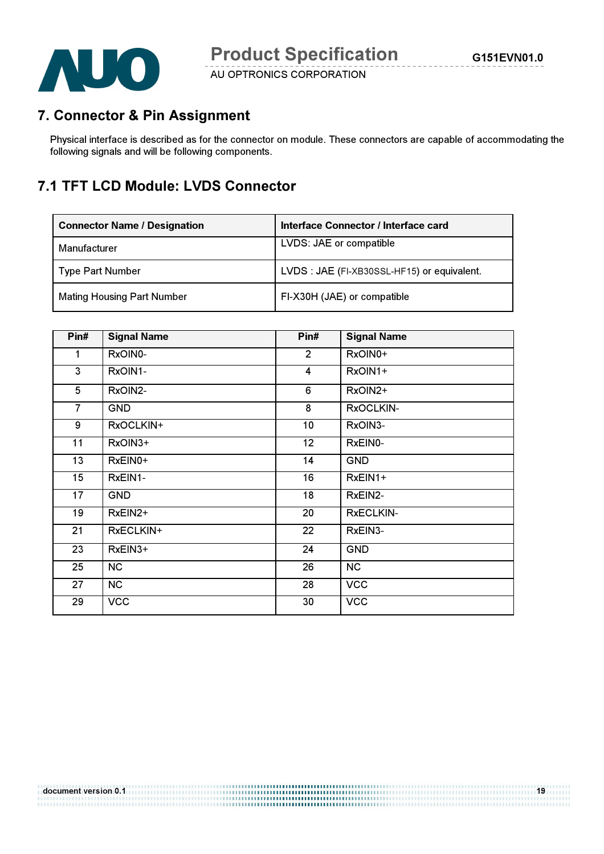

### 7. Connector & Pin Assignment

Physical interface is described as for the connector on module. These connectors are capable of accommodating the following signals and will be following components.

### 7.1 TFT LCD Module: LVDS Connector

| <b>Connector Name / Designation</b> | Interface Connector / Interface card        |
|-------------------------------------|---------------------------------------------|
| Manufacturer                        | LVDS: JAE or compatible                     |
| Type Part Number                    | LVDS : JAE (FI-XB30SSL-HF15) or equivalent. |
| <b>Mating Housing Part Number</b>   | FI-X30H (JAE) or compatible                 |

| Pin#           | <b>Signal Name</b> | Pin#            | <b>Signal Name</b> |
|----------------|--------------------|-----------------|--------------------|
| $\mathbf 1$    | RxOIN0-            | $\overline{2}$  | RxOIN0+            |
| 3              | RxOIN1-            | $\overline{4}$  | RxOIN1+            |
| 5              | RxOIN2-            | 6               | RxOIN2+            |
| $\overline{7}$ | <b>GND</b>         | 8               | RxOCLKIN-          |
| 9              | RxOCLKIN+          | 10 <sub>1</sub> | RxOIN3-            |
| 11             | RxOIN3+            | 12 <sub>2</sub> | RxEIN0-            |
| 13             | RxEIN0+            | 14              | <b>GND</b>         |
| 15             | RxEIN1-            | 16              | RxEIN1+            |
| 17             | <b>GND</b>         | 18              | RxEIN2-            |
| 19             | RxEIN2+            | 20              | RxECLKIN-          |
| 21             | RxECLKIN+          | 22              | RxEIN3-            |
| 23             | RxEIN3+            | 24              | <b>GND</b>         |
| 25             | <b>NC</b>          | 26              | <b>NC</b>          |
| 27             | <b>NC</b>          | 28              | <b>VCC</b>         |
| 29             | <b>VCC</b>         | 30              | <b>VCC</b>         |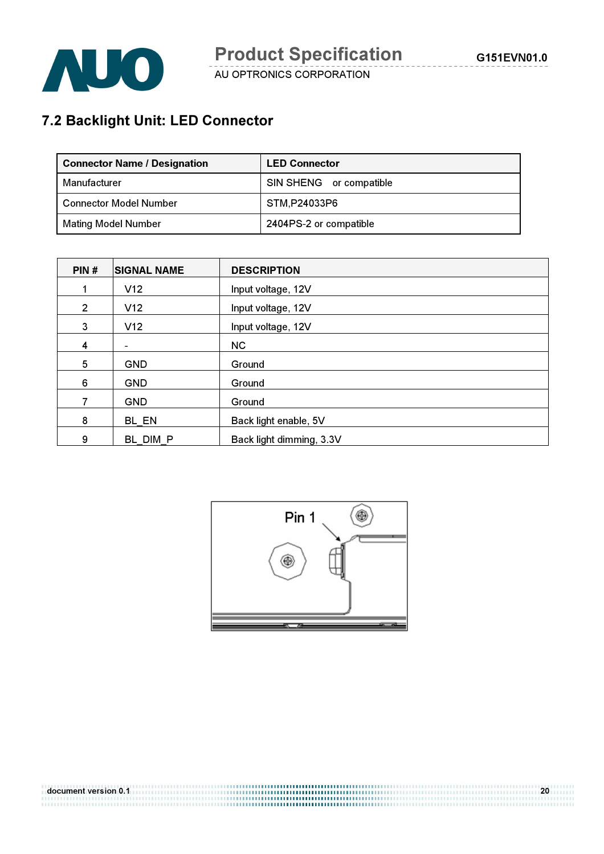

# 7.2 Backlight Unit: LED Connector

| <b>Connector Name / Designation</b> | <b>LED Connector</b>    |
|-------------------------------------|-------------------------|
| Manufacturer                        | SIN SHENG or compatible |
| <b>Connector Model Number</b>       | STM,P24033P6            |
| <b>Mating Model Number</b>          | 2404PS-2 or compatible  |

| PIN#           | <b>SIGNAL NAME</b> | <b>DESCRIPTION</b>       |
|----------------|--------------------|--------------------------|
|                | V12                | Input voltage, 12V       |
| $\overline{2}$ | V12                | Input voltage, 12V       |
| 3              | V12                | Input voltage, 12V       |
| 4              | -                  | <b>NC</b>                |
| 5              | <b>GND</b>         | Ground                   |
| 6              | <b>GND</b>         | Ground                   |
| 7              | <b>GND</b>         | Ground                   |
| 8              | BL EN              | Back light enable, 5V    |
| 9              | BL DIM P           | Back light dimming, 3.3V |

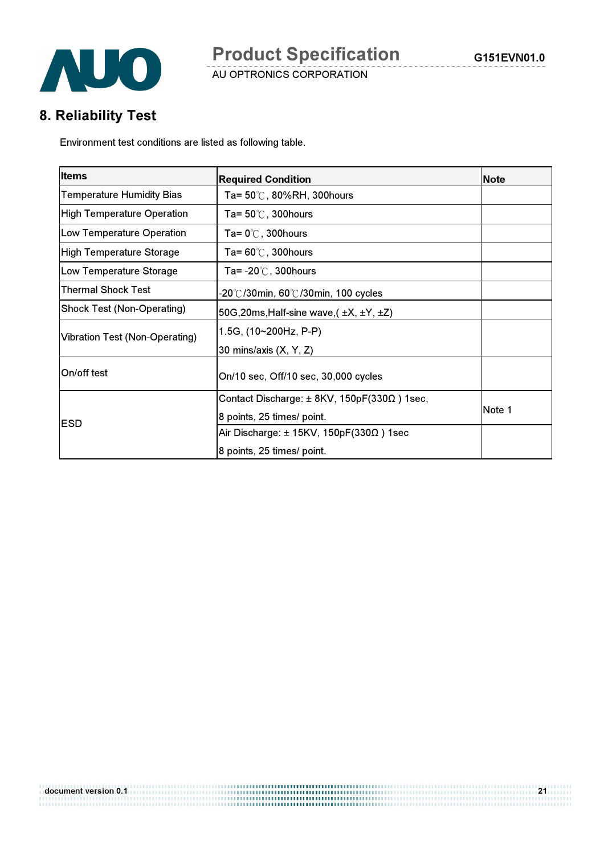

# 8. Reliability Test

Environment test conditions are listed as following table.

| <b>Items</b>                          | <b>Required Condition</b>                                | <b>Note</b> |
|---------------------------------------|----------------------------------------------------------|-------------|
| <b>Temperature Humidity Bias</b>      | Ta= 50℃, 80%RH, 300hours                                 |             |
| <b>High Temperature Operation</b>     | Ta= $50^{\circ}$ C, 300 hours                            |             |
| Low Temperature Operation             | Ta= $0^\circ\text{C}$ , 300 hours                        |             |
| <b>High Temperature Storage</b>       | Ta= $60^{\circ}$ C, 300hours                             |             |
| Low Temperature Storage               | Ta= $-20^{\circ}$ C, 300 hours                           |             |
| <b>Thermal Shock Test</b>             | -20°C/30min, 60°C/30min, 100 cycles                      |             |
| <b>Shock Test (Non-Operating)</b>     | 50G, 20ms, Half-sine wave, $(\pm X, \pm Y, \pm Z)$       |             |
| <b>Vibration Test (Non-Operating)</b> | 1.5G, (10~200Hz, P-P)                                    |             |
|                                       | 30 mins/axis (X, Y, Z)                                   |             |
| On/off test                           | On/10 sec, Off/10 sec, 30,000 cycles                     |             |
|                                       | Contact Discharge: $\pm$ 8KV, 150pF(330 $\Omega$ ) 1sec, |             |
| ESD                                   | 8 points, 25 times/ point.                               | Note 1      |
|                                       | Air Discharge: $\pm$ 15KV, 150pF(330 $\Omega$ ) 1sec     |             |
|                                       | 8 points, 25 times/ point.                               |             |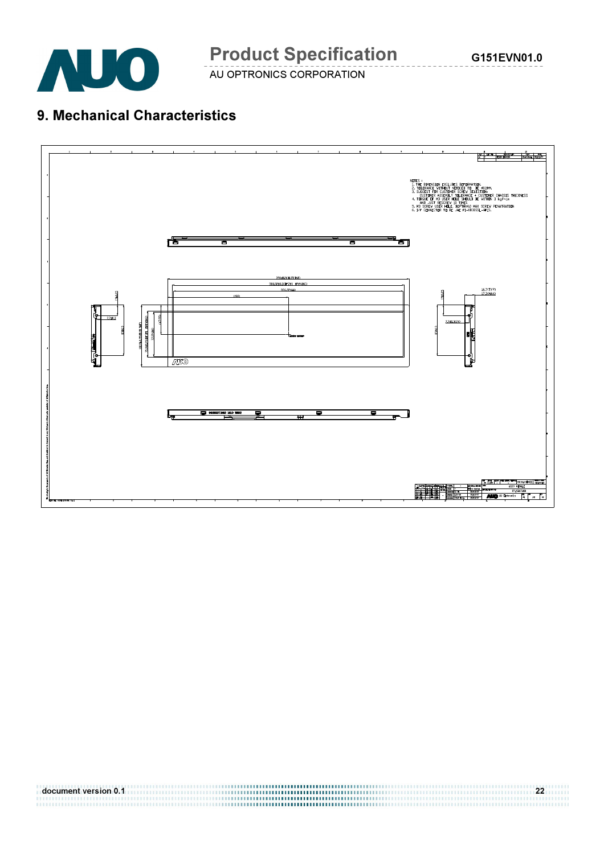

## 9. Mechanical Characteristics

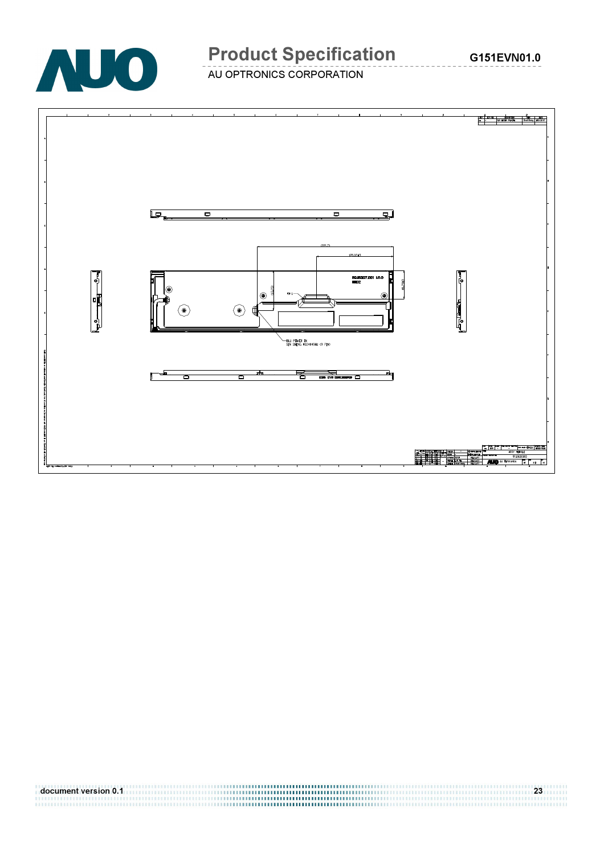

# Product Specification

AU OPTRONICS CORPORATION

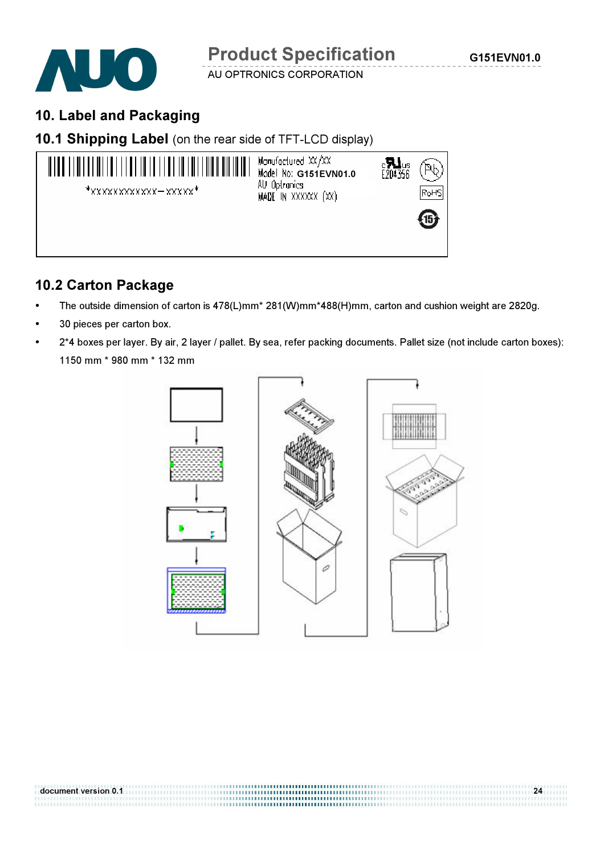

### 10. Label and Packaging





### 10.2 Carton Package

- The outside dimension of carton is 478(L)mm\* 281(W)mm\*488(H)mm, carton and cushion weight are 2820g.
- 30 pieces per carton box.
- 2\*4 boxes per layer. By air, 2 layer / pallet. By sea, refer packing documents. Pallet size (not include carton boxes): 1150 mm \* 980 mm \* 132 mm